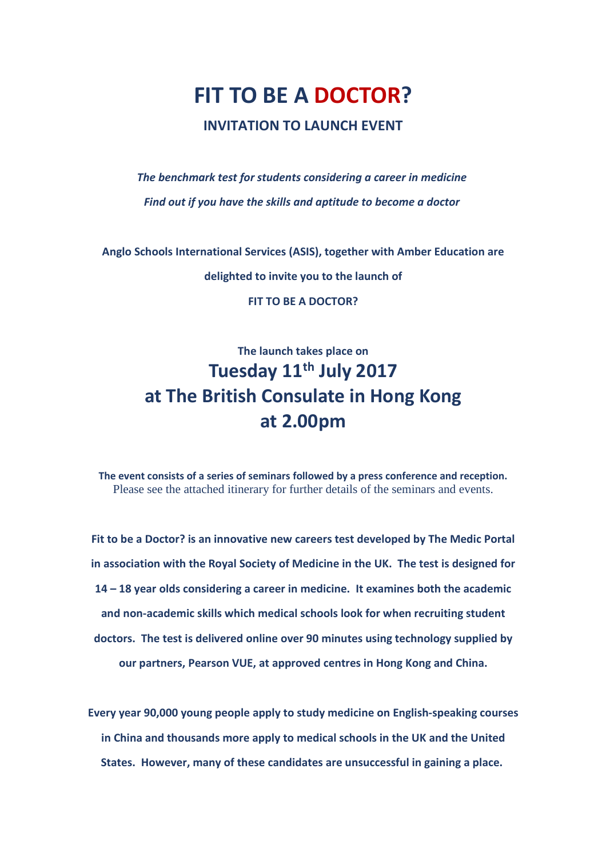## **FIT TO BE A DOCTOR? INVITATION TO LAUNCH EVENT**

*The benchmark test for students considering a career in medicine Find out if you have the skills and aptitude to become a doctor*

**Anglo Schools International Services (ASIS), together with Amber Education are delighted to invite you to the launch of**

**FIT TO BE A DOCTOR?**

## **The launch takes place on Tuesday 11th July 2017 at The British Consulate in Hong Kong at 2.00pm**

**The event consists of a series of seminars followed by a press conference and reception.** Please see the attached itinerary for further details of the seminars and events.

**Fit to be a Doctor? is an innovative new careers test developed by The Medic Portal in association with the Royal Society of Medicine in the UK. The test is designed for 14 – 18 year olds considering a career in medicine. It examines both the academic and non-academic skills which medical schools look for when recruiting student doctors. The test is delivered online over 90 minutes using technology supplied by our partners, Pearson VUE, at approved centres in Hong Kong and China.**

**Every year 90,000 young people apply to study medicine on English-speaking courses in China and thousands more apply to medical schools in the UK and the United States. However, many of these candidates are unsuccessful in gaining a place.**